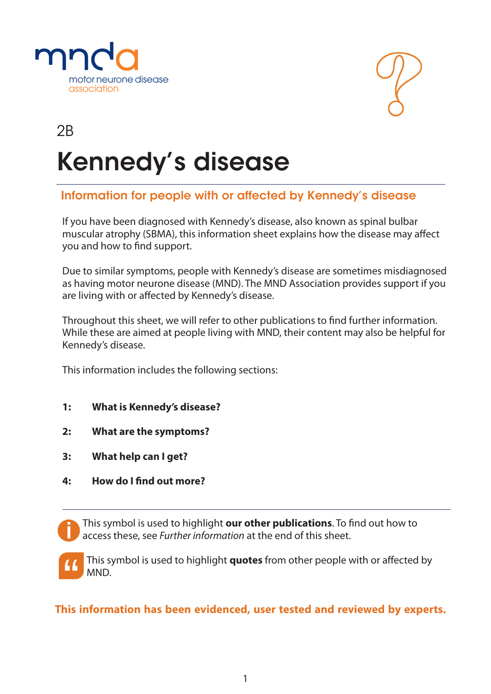



# Kennedy's disease  $\overline{2}$ B

## Information for people with or affected by Kennedy's disease

If you have been diagnosed with Kennedy's disease, also known as spinal bulbar muscular atrophy (SBMA), this information sheet explains how the disease may affect you and how to find support.

Due to similar symptoms, people with Kennedy's disease are sometimes misdiagnosed as having motor neurone disease (MND). The MND Association provides support if you are living with or affected by Kennedy's disease.

Throughout this sheet, we will refer to other publications to find further information. While these are aimed at people living with MND, their content may also be helpful for Kennedy's disease.

This information includes the following sections:

- **1: What is Kennedy's disease?**
- **2: What are the symptoms?**
- **3: What help can I get?**
- **4: How do I find out more?**

This symbol is used to highlight **our other publications**. To find out how to access these, see *Further information* at the end of this sheet.

This symbol is used to highlight **quotes** from other people with or affected by MND.

**This information has been evidenced, user tested and reviewed by experts.**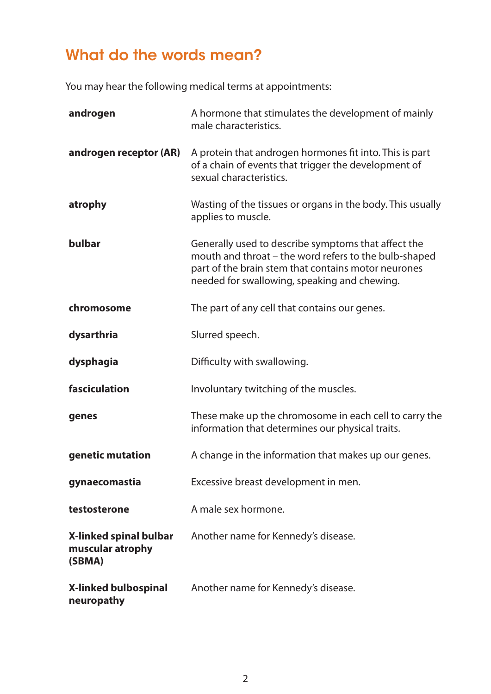## What do the words mean?

You may hear the following medical terms at appointments:

| androgen                                             | A hormone that stimulates the development of mainly<br>male characteristics.                                                                                                                                        |
|------------------------------------------------------|---------------------------------------------------------------------------------------------------------------------------------------------------------------------------------------------------------------------|
| androgen receptor (AR)                               | A protein that androgen hormones fit into. This is part<br>of a chain of events that trigger the development of<br>sexual characteristics.                                                                          |
| atrophy                                              | Wasting of the tissues or organs in the body. This usually<br>applies to muscle.                                                                                                                                    |
| bulbar                                               | Generally used to describe symptoms that affect the<br>mouth and throat - the word refers to the bulb-shaped<br>part of the brain stem that contains motor neurones<br>needed for swallowing, speaking and chewing. |
| chromosome                                           | The part of any cell that contains our genes.                                                                                                                                                                       |
| dysarthria                                           | Slurred speech.                                                                                                                                                                                                     |
| dysphagia                                            | Difficulty with swallowing.                                                                                                                                                                                         |
| fasciculation                                        | Involuntary twitching of the muscles.                                                                                                                                                                               |
| genes                                                | These make up the chromosome in each cell to carry the<br>information that determines our physical traits.                                                                                                          |
| genetic mutation                                     | A change in the information that makes up our genes.                                                                                                                                                                |
| gynaecomastia                                        | Excessive breast development in men.                                                                                                                                                                                |
| testosterone                                         | A male sex hormone.                                                                                                                                                                                                 |
| X-linked spinal bulbar<br>muscular atrophy<br>(SBMA) | Another name for Kennedy's disease.                                                                                                                                                                                 |
| <b>X-linked bulbospinal</b><br>neuropathy            | Another name for Kennedy's disease.                                                                                                                                                                                 |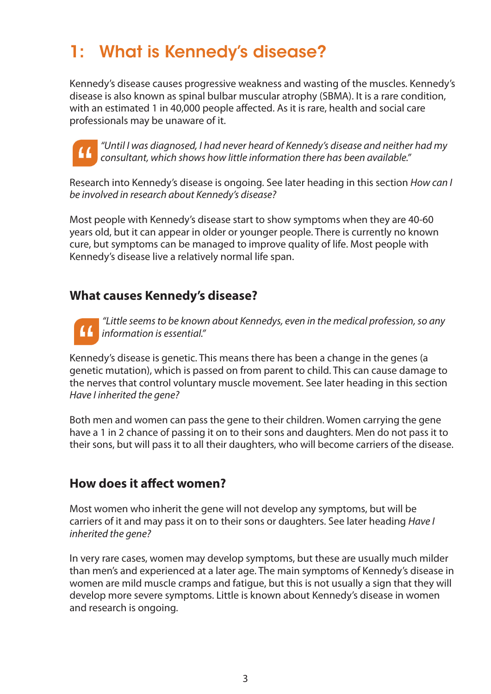## 1: What is Kennedy's disease?

Kennedy's disease causes progressive weakness and wasting of the muscles. Kennedy's disease is also known as spinal bulbar muscular atrophy (SBMA). It is a rare condition, with an estimated 1 in 40,000 people affected. As it is rare, health and social care professionals may be unaware of it.



*"Until I was diagnosed, I had never heard of Kennedy's disease and neither had my consultant, which shows how little information there has been available."*

Research into Kennedy's disease is ongoing. See later heading in this section *How can I be involved in research about Kennedy's disease?*

Most people with Kennedy's disease start to show symptoms when they are 40-60 years old, but it can appear in older or younger people. There is currently no known cure, but symptoms can be managed to improve quality of life. Most people with Kennedy's disease live a relatively normal life span.

## **What causes Kennedy's disease?**



*"Little seems to be known about Kennedys, even in the medical profession, so any information is essential."*

Kennedy's disease is genetic. This means there has been a change in the genes (a genetic mutation), which is passed on from parent to child. This can cause damage to the nerves that control voluntary muscle movement. See later heading in this section *Have I inherited the gene?*

Both men and women can pass the gene to their children. Women carrying the gene have a 1 in 2 chance of passing it on to their sons and daughters. Men do not pass it to their sons, but will pass it to all their daughters, who will become carriers of the disease.

## **How does it affect women?**

Most women who inherit the gene will not develop any symptoms, but will be carriers of it and may pass it on to their sons or daughters. See later heading *Have I inherited the gene?*

In very rare cases, women may develop symptoms, but these are usually much milder than men's and experienced at a later age. The main symptoms of Kennedy's disease in women are mild muscle cramps and fatigue, but this is not usually a sign that they will develop more severe symptoms. Little is known about Kennedy's disease in women and research is ongoing.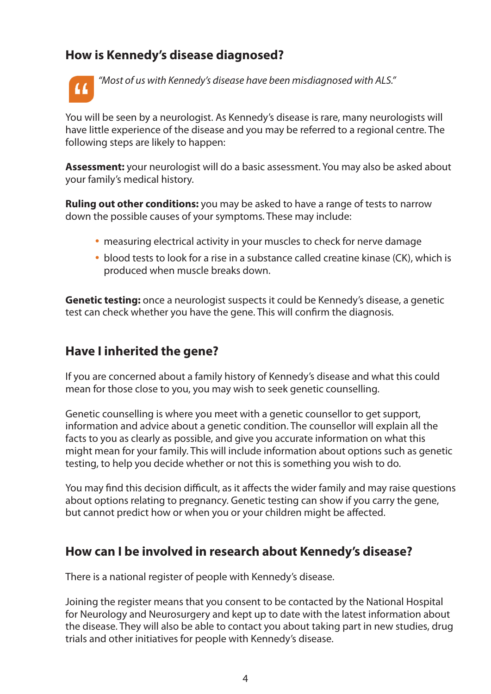## **How is Kennedy's disease diagnosed?**



*"Most of us with Kennedy's disease have been misdiagnosed with ALS."*

You will be seen by a neurologist. As Kennedy's disease is rare, many neurologists will have little experience of the disease and you may be referred to a regional centre. The following steps are likely to happen:

**Assessment:** your neurologist will do a basic assessment. You may also be asked about your family's medical history.

**Ruling out other conditions:** you may be asked to have a range of tests to narrow down the possible causes of your symptoms. These may include:

- measuring electrical activity in your muscles to check for nerve damage
- blood tests to look for a rise in a substance called creatine kinase (CK), which is produced when muscle breaks down.

**Genetic testing:** once a neurologist suspects it could be Kennedy's disease, a genetic test can check whether you have the gene. This will confirm the diagnosis.

### **Have I inherited the gene?**

If you are concerned about a family history of Kennedy's disease and what this could mean for those close to you, you may wish to seek genetic counselling.

Genetic counselling is where you meet with a genetic counsellor to get support, information and advice about a genetic condition. The counsellor will explain all the facts to you as clearly as possible, and give you accurate information on what this might mean for your family. This will include information about options such as genetic testing, to help you decide whether or not this is something you wish to do.

You may find this decision difficult, as it affects the wider family and may raise questions about options relating to pregnancy. Genetic testing can show if you carry the gene, but cannot predict how or when you or your children might be affected.

### **How can I be involved in research about Kennedy's disease?**

There is a national register of people with Kennedy's disease.

Joining the register means that you consent to be contacted by the National Hospital for Neurology and Neurosurgery and kept up to date with the latest information about the disease. They will also be able to contact you about taking part in new studies, drug trials and other initiatives for people with Kennedy's disease.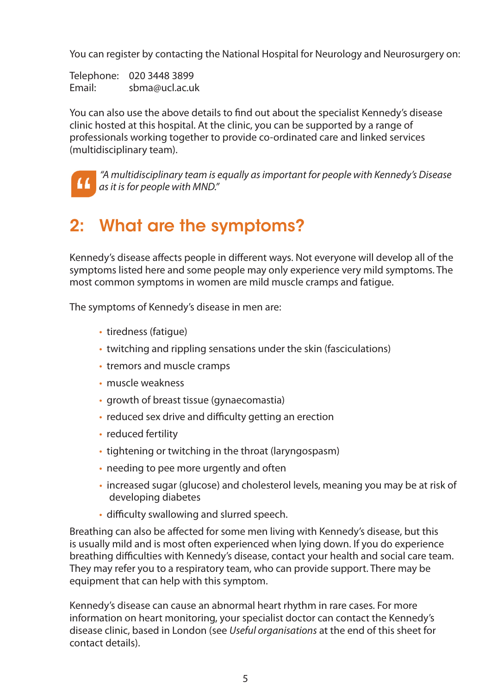You can register by contacting the National Hospital for Neurology and Neurosurgery on:

Telephone: 020 3448 3899 Email: sbma@ucl.ac.uk

You can also use the above details to find out about the specialist Kennedy's disease clinic hosted at this hospital. At the clinic, you can be supported by a range of professionals working together to provide co-ordinated care and linked services (multidisciplinary team).



*"A multidisciplinary team is equally as important for people with Kennedy's Disease as it is for people with MND."*

## 2: What are the symptoms?

Kennedy's disease affects people in different ways. Not everyone will develop all of the symptoms listed here and some people may only experience very mild symptoms. The most common symptoms in women are mild muscle cramps and fatigue.

The symptoms of Kennedy's disease in men are:

- tiredness (fatigue)
- twitching and rippling sensations under the skin (fasciculations)
- tremors and muscle cramps
- muscle weakness
- growth of breast tissue (gynaecomastia)
- reduced sex drive and difficulty getting an erection
- reduced fertility
- tightening or twitching in the throat (laryngospasm)
- needing to pee more urgently and often
- increased sugar (glucose) and cholesterol levels, meaning you may be at risk of developing diabetes
- difficulty swallowing and slurred speech.

Breathing can also be affected for some men living with Kennedy's disease, but this is usually mild and is most often experienced when lying down. If you do experience breathing difficulties with Kennedy's disease, contact your health and social care team. They may refer you to a respiratory team, who can provide support. There may be equipment that can help with this symptom.

Kennedy's disease can cause an abnormal heart rhythm in rare cases. For more information on heart monitoring, your specialist doctor can contact the Kennedy's disease clinic, based in London (see *Useful organisations* at the end of this sheet for contact details).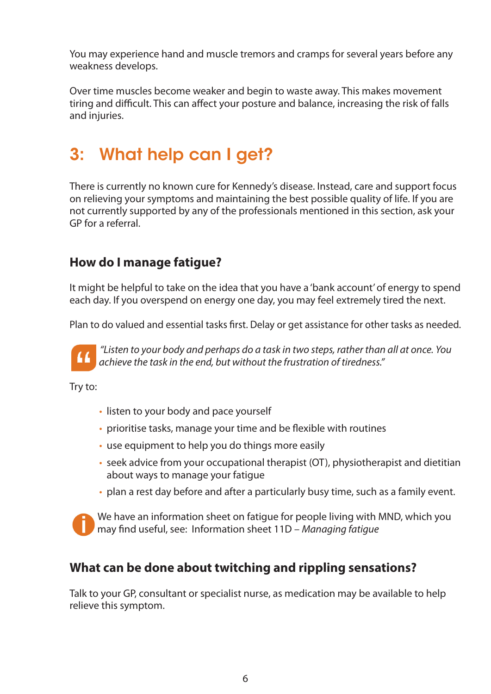You may experience hand and muscle tremors and cramps for several years before any weakness develops.

Over time muscles become weaker and begin to waste away. This makes movement tiring and difficult. This can affect your posture and balance, increasing the risk of falls and injuries.

## 3: What help can I get?

There is currently no known cure for Kennedy's disease. Instead, care and support focus on relieving your symptoms and maintaining the best possible quality of life. If you are not currently supported by any of the professionals mentioned in this section, ask your GP for a referral.

## **How do I manage fatigue?**

It might be helpful to take on the idea that you have a 'bank account' of energy to spend each day. If you overspend on energy one day, you may feel extremely tired the next.

Plan to do valued and essential tasks first. Delay or get assistance for other tasks as needed.



*"Listen to your body and perhaps do a task in two steps, rather than all at once. You achieve the task in the end, but without the frustration of tiredness."*

Try to:

- listen to your body and pace yourself
- prioritise tasks, manage your time and be flexible with routines
- use equipment to help you do things more easily
- seek advice from your occupational therapist (OT), physiotherapist and dietitian about ways to manage your fatigue
- plan a rest day before and after a particularly busy time, such as a family event.



## **What can be done about twitching and rippling sensations?**

Talk to your GP, consultant or specialist nurse, as medication may be available to help relieve this symptom.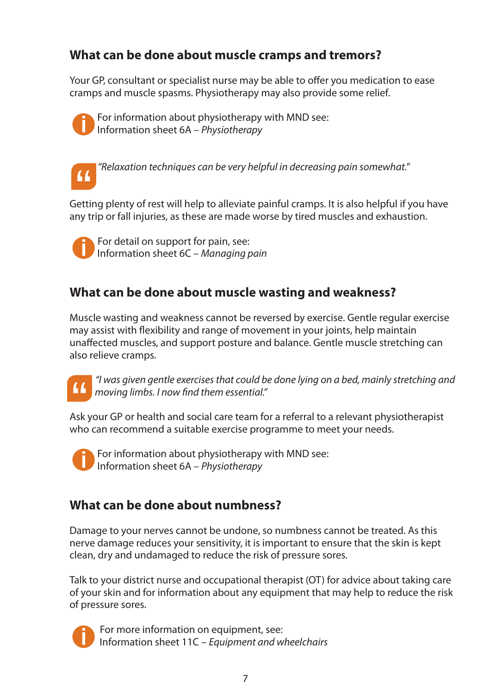## **What can be done about muscle cramps and tremors?**

Your GP, consultant or specialist nurse may be able to offer you medication to ease cramps and muscle spasms. Physiotherapy may also provide some relief.



For information about physiotherapy with MND see: Information sheet 6A – *Physiotherapy* 



*"Relaxation techniques can be very helpful in decreasing pain somewhat."*

Getting plenty of rest will help to alleviate painful cramps. It is also helpful if you have any trip or fall injuries, as these are made worse by tired muscles and exhaustion.



For detail on support for pain, see: Information sheet 6C – *Managing pain*

## **What can be done about muscle wasting and weakness?**

Muscle wasting and weakness cannot be reversed by exercise. Gentle regular exercise may assist with flexibility and range of movement in your joints, help maintain unaffected muscles, and support posture and balance. Gentle muscle stretching can also relieve cramps.



*"I was given gentle exercises that could be done lying on a bed, mainly stretching and moving limbs. I now find them essential."*

Ask your GP or health and social care team for a referral to a relevant physiotherapist who can recommend a suitable exercise programme to meet your needs.



For information about physiotherapy with MND see: Information sheet 6A – *Physiotherapy*

## **What can be done about numbness?**

Damage to your nerves cannot be undone, so numbness cannot be treated. As this nerve damage reduces your sensitivity, it is important to ensure that the skin is kept clean, dry and undamaged to reduce the risk of pressure sores.

Talk to your district nurse and occupational therapist (OT) for advice about taking care of your skin and for information about any equipment that may help to reduce the risk of pressure sores.



For more information on equipment, see: Information sheet 11C – *Equipment and wheelchairs*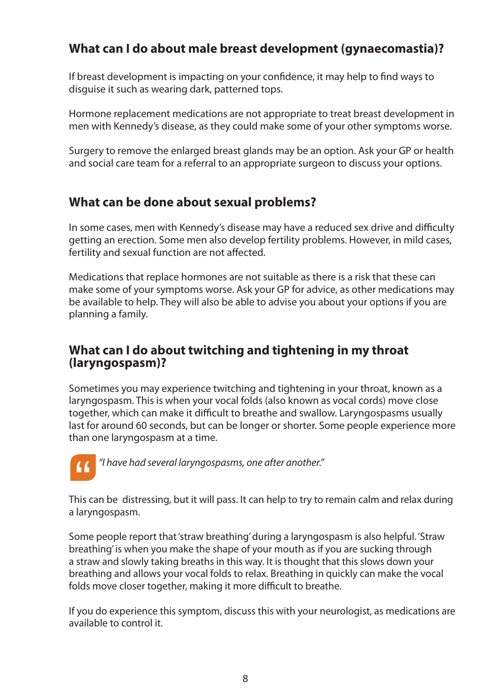## **What can I do about male breast development (gynaecomastia)?**

If breast development is impacting on your confidence, it may help to find ways to disguise it such as wearing dark, patterned tops.

Hormone replacement medications are not appropriate to treat breast development in men with Kennedy's disease, as they could make some of your other symptoms worse.

Surgery to remove the enlarged breast glands may be an option. Ask your GP or health and social care team for a referral to an appropriate surgeon to discuss your options.

## **What can be done about sexual problems?**

In some cases, men with Kennedy's disease may have a reduced sex drive and difficulty getting an erection. Some men also develop fertility problems. However, in mild cases, fertility and sexual function are not affected.

Medications that replace hormones are not suitable as there is a risk that these can make some of your symptoms worse. Ask your GP for advice, as other medications may be available to help. They will also be able to advise you about your options if you are planning a family.

### **What can I do about twitching and tightening in my throat (laryngospasm)?**

Sometimes you may experience twitching and tightening in your throat, known as a laryngospasm. This is when your vocal folds (also known as vocal cords) move close together, which can make it difficult to breathe and swallow. Laryngospasms usually last for around 60 seconds, but can be longer or shorter. Some people experience more than one laryngospasm at a time.



 *"I have had several laryngospasms, one after another."*

This can be distressing, but it will pass. It can help to try to remain calm and relax during a laryngospasm.

Some people report that 'straw breathing' during a laryngospasm is also helpful. 'Straw breathing' is when you make the shape of your mouth as if you are sucking through a straw and slowly taking breaths in this way. It is thought that this slows down your breathing and allows your vocal folds to relax. Breathing in quickly can make the vocal folds move closer together, making it more difficult to breathe.

If you do experience this symptom, discuss this with your neurologist, as medications are available to control it.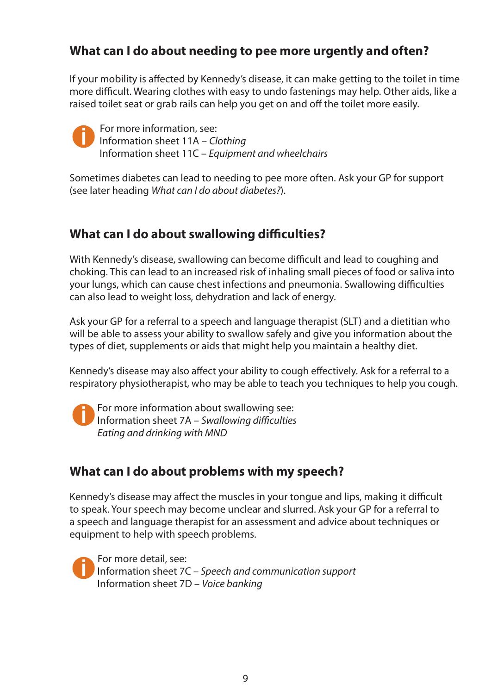## **What can I do about needing to pee more urgently and often?**

If your mobility is affected by Kennedy's disease, it can make getting to the toilet in time more difficult. Wearing clothes with easy to undo fastenings may help. Other aids, like a raised toilet seat or grab rails can help you get on and off the toilet more easily.



For more information, see: Information sheet 11A – *Clothing*  Information sheet 11C – *Equipment and wheelchairs*

Sometimes diabetes can lead to needing to pee more often. Ask your GP for support (see later heading *What can I do about diabetes?*).

## **What can I do about swallowing difficulties?**

With Kennedy's disease, swallowing can become difficult and lead to coughing and choking. This can lead to an increased risk of inhaling small pieces of food or saliva into your lungs, which can cause chest infections and pneumonia. Swallowing difficulties can also lead to weight loss, dehydration and lack of energy.

Ask your GP for a referral to a speech and language therapist (SLT) and a dietitian who will be able to assess your ability to swallow safely and give you information about the types of diet, supplements or aids that might help you maintain a healthy diet.

Kennedy's disease may also affect your ability to cough effectively. Ask for a referral to a respiratory physiotherapist, who may be able to teach you techniques to help you cough.

For more information about swallowing see: Information sheet 7A – *Swallowing difficulties Eating and drinking with MND*

## **What can I do about problems with my speech?**

Kennedy's disease may affect the muscles in your tongue and lips, making it difficult to speak. Your speech may become unclear and slurred. Ask your GP for a referral to a speech and language therapist for an assessment and advice about techniques or equipment to help with speech problems.

For more detail, see: Information sheet 7C – *Speech and communication support* Information sheet 7D – *Voice banking*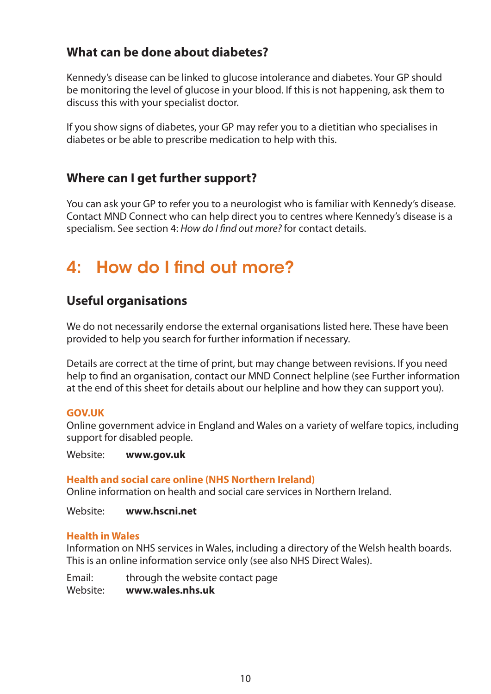## **What can be done about diabetes?**

Kennedy's disease can be linked to glucose intolerance and diabetes. Your GP should be monitoring the level of glucose in your blood. If this is not happening, ask them to discuss this with your specialist doctor.

If you show signs of diabetes, your GP may refer you to a dietitian who specialises in diabetes or be able to prescribe medication to help with this.

## **Where can I get further support?**

You can ask your GP to refer you to a neurologist who is familiar with Kennedy's disease. Contact MND Connect who can help direct you to centres where Kennedy's disease is a specialism. See section 4: *How do I find out more?* for contact details.

## 4: How do I find out more?

## **Useful organisations**

We do not necessarily endorse the external organisations listed here. These have been provided to help you search for further information if necessary.

Details are correct at the time of print, but may change between revisions. If you need help to find an organisation, contact our MND Connect helpline (see Further information at the end of this sheet for details about our helpline and how they can support you).

### **GOV.UK**

Online government advice in England and Wales on a variety of welfare topics, including support for disabled people.

Website: **www.gov.uk**

### **Health and social care online (NHS Northern Ireland)**

Online information on health and social care services in Northern Ireland.

Website: **www.hscni.net**

### **Health in Wales**

Information on NHS services in Wales, including a directory of the Welsh health boards. This is an online information service only (see also NHS Direct Wales).

Email: through the website contact page Website: **www.wales.nhs.uk**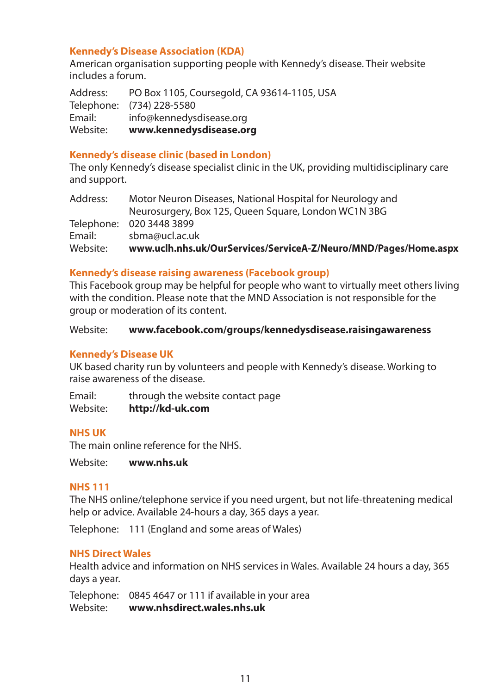### **Kennedy's Disease Association (KDA)**

American organisation supporting people with Kennedy's disease. Their website includes a forum.

Address: PO Box 1105, Coursegold, CA 93614-1105, USA Telephone: (734) 228-5580 Email: info@kennedysdisease.org Website: **www.kennedysdisease.org**

### **Kennedy's disease clinic (based in London)**

The only Kennedy's disease specialist clinic in the UK, providing multidisciplinary care and support.

| Address: | Motor Neuron Diseases, National Hospital for Neurology and       |
|----------|------------------------------------------------------------------|
|          | Neurosurgery, Box 125, Queen Square, London WC1N 3BG             |
|          | Telephone: 020 3448 3899                                         |
| Email:   | sbma@ucl.ac.uk                                                   |
| Website: | www.uclh.nhs.uk/OurServices/ServiceA-Z/Neuro/MND/Pages/Home.aspx |

### **Kennedy's disease raising awareness (Facebook group)**

This Facebook group may be helpful for people who want to virtually meet others living with the condition. Please note that the MND Association is not responsible for the group or moderation of its content.

#### Website: **www.facebook.com/groups/kennedysdisease.raisingawareness**

### **Kennedy's Disease UK**

UK based charity run by volunteers and people with Kennedy's disease. Working to raise awareness of the disease.

Email: through the website contact page Website: **http://kd-uk.com**

### **NHS UK**

The main online reference for the NHS.

Website: **www.nhs.uk**

### **NHS 111**

The NHS online/telephone service if you need urgent, but not life-threatening medical help or advice. Available 24-hours a day, 365 days a year.

Telephone: 111 (England and some areas of Wales)

### **NHS Direct Wales**

Health advice and information on NHS services in Wales. Available 24 hours a day, 365 days a year.

Telephone: 0845 4647 or 111 if available in your area Website: **www.nhsdirect.wales.nhs.uk**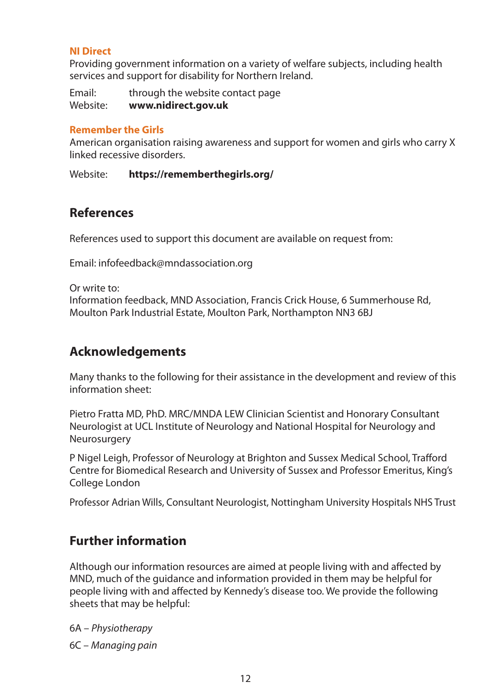### **NI Direct**

Providing government information on a variety of welfare subjects, including health services and support for disability for Northern Ireland.

Email: through the website contact page Website: **www.nidirect.gov.uk** 

### **Remember the Girls**

American organisation raising awareness and support for women and girls who carry X linked recessive disorders.

Website: **https://rememberthegirls.org/** 

### **References**

References used to support this document are available on request from:

Email: infofeedback@mndassociation.org

Or write to:

Information feedback, MND Association, Francis Crick House, 6 Summerhouse Rd, Moulton Park Industrial Estate, Moulton Park, Northampton NN3 6BJ

## **Acknowledgements**

Many thanks to the following for their assistance in the development and review of this information sheet:

Pietro Fratta MD, PhD. MRC/MNDA LEW Clinician Scientist and Honorary Consultant Neurologist at UCL Institute of Neurology and National Hospital for Neurology and Neurosurgery

P Nigel Leigh, Professor of Neurology at Brighton and Sussex Medical School, Trafford Centre for Biomedical Research and University of Sussex and Professor Emeritus, King's College London

Professor Adrian Wills, Consultant Neurologist, Nottingham University Hospitals NHS Trust

## **Further information**

Although our information resources are aimed at people living with and affected by MND, much of the guidance and information provided in them may be helpful for people living with and affected by Kennedy's disease too. We provide the following sheets that may be helpful:

6A – *Physiotherapy*

6C – *Managing pain*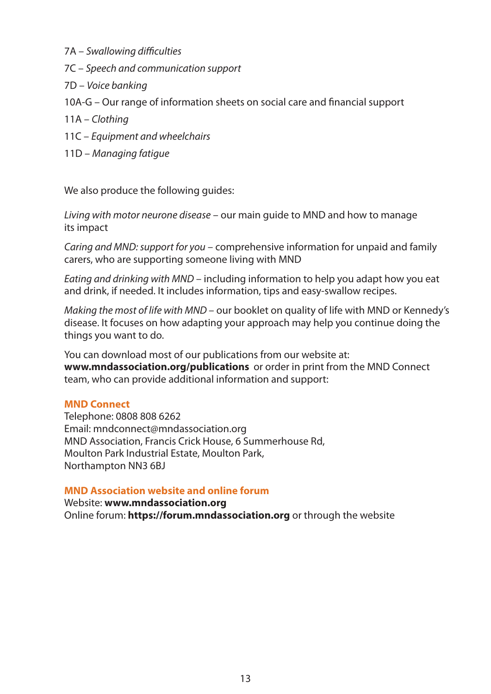- 7A *Swallowing difficulties*
- 7C *Speech and communication support*
- 7D *Voice banking*
- 10A-G Our range of information sheets on social care and financial support
- 11A *Clothing*
- 11C *Equipment and wheelchairs*
- 11D *Managing fatigue*

We also produce the following guides:

*Living with motor neurone disease* – our main guide to MND and how to manage its impact

*Caring and MND: support for you* – comprehensive information for unpaid and family carers, who are supporting someone living with MND

*Eating and drinking with MND* – including information to help you adapt how you eat and drink, if needed. It includes information, tips and easy-swallow recipes.

*Making the most of life with MND* – our booklet on quality of life with MND or Kennedy's disease. It focuses on how adapting your approach may help you continue doing the things you want to do.

You can download most of our publications from our website at: **www.mndassociation.org/publications** or order in print from the MND Connect team, who can provide additional information and support:

#### **MND Connect**

Telephone: 0808 808 6262 Email: mndconnect@mndassociation.org MND Association, Francis Crick House, 6 Summerhouse Rd, Moulton Park Industrial Estate, Moulton Park, Northampton NN3 6BJ

### **MND Association website and online forum**

Website: **www.mndassociation.org**

Online forum: **https://forum.mndassociation.org** or through the website